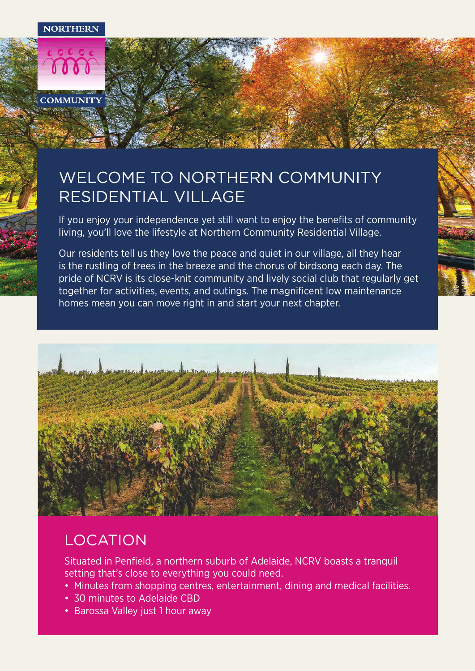**NORTHERN** 



## WELCOME TO NORTHERN COMMUNITY RESIDENTIAL VILLAGE

If you enjoy your independence yet still want to enjoy the benefits of community living, you'll love the lifestyle at Northern Community Residential Village.

Our residents tell us they love the peace and quiet in our village, all they hear is the rustling of trees in the breeze and the chorus of birdsong each day. The pride of NCRV is its close-knit community and lively social club that regularly get together for activities, events, and outings. The magnificent low maintenance homes mean you can move right in and start your next chapter.



### LOCATION

Situated in Penfield, a northern suburb of Adelaide, NCRV boasts a tranquil setting that's close to everything you could need.

- Minutes from shopping centres, entertainment, dining and medical facilities.
- 30 minutes to Adelaide CBD
- Barossa Valley just 1 hour away